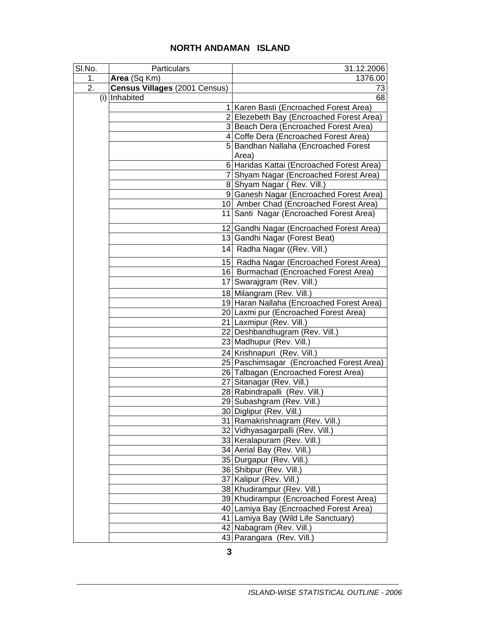## **NORTH ANDAMAN ISLAND**

| SI.No. | Particulars                   | 31.12.2006                                         |
|--------|-------------------------------|----------------------------------------------------|
| 1.     | Area (Sq Km)                  | 1376.00                                            |
| 2.     | Census Villages (2001 Census) | 73                                                 |
|        | (i) Inhabited                 | 68                                                 |
|        |                               | 1 Karen Basti (Encroached Forest Area)             |
|        |                               | 2 Elezebeth Bay (Encroached Forest Area)           |
|        |                               | 3 Beach Dera (Encroached Forest Area)              |
|        |                               | 4 Coffe Dera (Encroached Forest Area)              |
|        |                               | 5 Bandhan Nallaha (Encroached Forest               |
|        |                               | Area)                                              |
|        |                               | 6 Haridas Kattai (Encroached Forest Area)          |
|        |                               | 7 Shyam Nagar (Encroached Forest Area)             |
|        |                               | 8 Shyam Nagar (Rev. Vill.)                         |
|        |                               | 9 Ganesh Nagar (Encroached Forest Area)            |
|        |                               | 10 Amber Chad (Encroached Forest Area)             |
|        |                               | 11 Santi Nagar (Encroached Forest Area)            |
|        |                               | 12 Gandhi Nagar (Encroached Forest Area)           |
|        |                               | 13 Gandhi Nagar (Forest Beat)                      |
|        |                               | 14 Radha Nagar ((Rev. Vill.)                       |
|        |                               | 15 Radha Nagar (Encroached Forest Area)            |
|        |                               | 16 Burmachad (Encroached Forest Area)              |
|        |                               | 17 Swarajgram (Rev. Vill.)                         |
|        |                               | 18 Milangram (Rev. Vill.)                          |
|        |                               | 19 Haran Nallaha (Encroached Forest Area)          |
|        |                               | 20 Laxmi pur (Encroached Forest Area)              |
|        |                               | 21 Laxmipur (Rev. Vill.)                           |
|        |                               | 22 Deshbandhugram (Rev. Vill.)                     |
|        |                               | 23 Madhupur (Rev. Vill.)                           |
|        |                               | 24 Krishnapuri (Rev. Vill.)                        |
|        |                               | 25 Paschimsagar (Encroached Forest Area)           |
|        |                               | 26 Talbagan (Encroached Forest Area)               |
|        |                               | 27 Sitanagar (Rev. Vill.)                          |
|        |                               | 28 Rabindrapalli (Rev. Vill.)                      |
|        |                               | 29 Subashgram (Rev. Vill.)                         |
|        |                               | 30 Diglipur (Rev. Vill.)                           |
|        |                               | 31 Ramakrishnagram (Rev. Vill.)                    |
|        |                               | 32 Vidhyasagarpalli (Rev. Vill.)                   |
|        |                               | 33 Keralapuram (Rev. Vill.)                        |
|        |                               | 34 Aerial Bay (Rev. Vill.)                         |
|        |                               | 35 Durgapur (Rev. Vill.)                           |
|        |                               | 36 Shibpur (Rev. Vill.)<br>37 Kalipur (Rev. Vill.) |
|        |                               | 38 Khudirampur (Rev. Vill.)                        |
|        |                               | 39 Khudirampur (Encroached Forest Area)            |
|        |                               | 40 Lamiya Bay (Encroached Forest Area)             |
|        |                               | 41 Lamiya Bay (Wild Life Sanctuary)                |
|        |                               | 42 Nabagram (Rev. Vill.)                           |
|        |                               | 43 Parangara (Rev. Vill.)                          |
|        |                               |                                                    |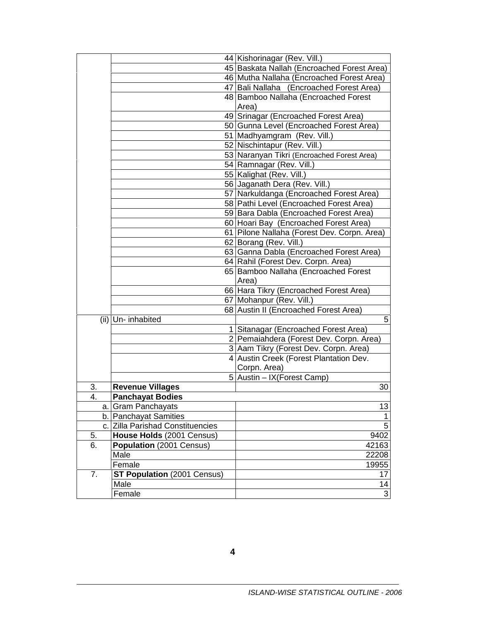|    |                                    | 44 Kishorinagar (Rev. Vill.)                |
|----|------------------------------------|---------------------------------------------|
|    |                                    | 45 Baskata Nallah (Encroached Forest Area)  |
|    |                                    | 46 Mutha Nallaha (Encroached Forest Area)   |
|    |                                    | 47 Bali Nallaha (Encroached Forest Area)    |
|    |                                    | 48 Bamboo Nallaha (Encroached Forest        |
|    |                                    | Area)                                       |
|    |                                    | 49 Srinagar (Encroached Forest Area)        |
|    |                                    | 50 Gunna Level (Encroached Forest Area)     |
|    |                                    | 51 Madhyamgram (Rev. Vill.)                 |
|    |                                    | 52 Nischintapur (Rev. Vill.)                |
|    |                                    | 53 Naranyan Tikri (Encroached Forest Area)  |
|    |                                    | 54 Ramnagar (Rev. Vill.)                    |
|    |                                    | 55 Kalighat (Rev. Vill.)                    |
|    |                                    | 56 Jaganath Dera (Rev. Vill.)               |
|    |                                    | 57 Narkuldanga (Encroached Forest Area)     |
|    |                                    | 58 Pathi Level (Encroached Forest Area)     |
|    |                                    | 59 Bara Dabla (Encroached Forest Area)      |
|    |                                    |                                             |
|    |                                    | 60 Hoari Bay (Encroached Forest Area)       |
|    |                                    | 61 Pilone Nallaha (Forest Dev. Corpn. Area) |
|    |                                    | 62 Borang (Rev. Vill.)                      |
|    |                                    | 63 Ganna Dabla (Encroached Forest Area)     |
|    |                                    | 64 Rahil (Forest Dev. Corpn. Area)          |
|    |                                    | 65 Bamboo Nallaha (Encroached Forest        |
|    |                                    | Area)                                       |
|    |                                    | 66 Hara Tikry (Encroached Forest Area)      |
|    |                                    | 67 Mohanpur (Rev. Vill.)                    |
|    |                                    | 68 Austin II (Encroached Forest Area)       |
|    | (ii) Un- inhabited                 | 5                                           |
|    |                                    | 1 Sitanagar (Encroached Forest Area)        |
|    |                                    | 2 Pemaiahdera (Forest Dev. Corpn. Area)     |
|    |                                    | 3 Aam Tikry (Forest Dev. Corpn. Area)       |
|    |                                    | 4 Austin Creek (Forest Plantation Dev.      |
|    |                                    | Corpn. Area)                                |
|    |                                    | 5 Austin - IX (Forest Camp)                 |
| 3. | <b>Revenue Villages</b>            | 30                                          |
| 4. | <b>Panchayat Bodies</b>            |                                             |
|    | a. Gram Panchayats                 | 13                                          |
|    | b. Panchayat Samities              | 1                                           |
|    | c. Zilla Parishad Constituencies   | 5                                           |
| 5. | House Holds (2001 Census)          | 9402                                        |
| 6. | Population (2001 Census)           | 42163                                       |
|    | Male                               | 22208                                       |
|    | Female                             | 19955                                       |
| 7. | <b>ST Population (2001 Census)</b> | 17                                          |
|    | Male                               | 14                                          |
|    | Female                             | 3                                           |
|    |                                    |                                             |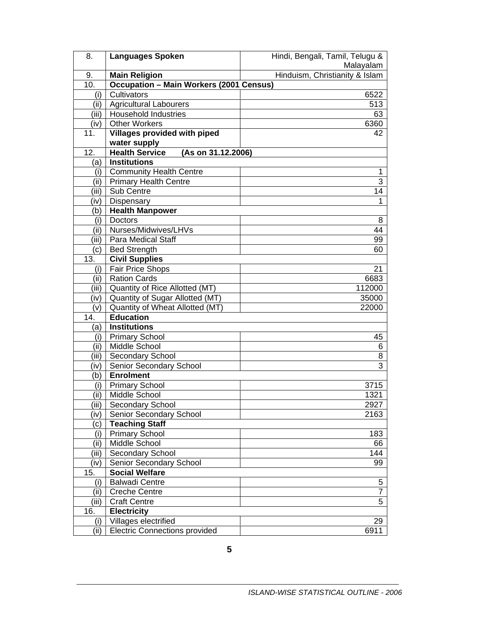| 8.            | <b>Languages Spoken</b>                        | Hindi, Bengali, Tamil, Telugu & |
|---------------|------------------------------------------------|---------------------------------|
|               |                                                | Malayalam                       |
| 9.            | <b>Main Religion</b>                           | Hinduism, Christianity & Islam  |
| 10.           | <b>Occupation - Main Workers (2001 Census)</b> |                                 |
| (i)           | Cultivators                                    | 6522                            |
| (ii)          | <b>Agricultural Labourers</b>                  | 513                             |
| (iii)         | <b>Household Industries</b>                    | 63                              |
| (iv)          | Other Workers                                  | 6360                            |
| 11.           | Villages provided with piped                   | 42                              |
|               | water supply                                   |                                 |
| 12.           | <b>Health Service</b><br>(As on 31.12.2006)    |                                 |
| (a)           | <b>Institutions</b>                            |                                 |
| (i)           | <b>Community Health Centre</b>                 | 1                               |
| (ii)          | <b>Primary Health Centre</b>                   | $\overline{3}$                  |
| (iii)         | Sub Centre                                     | 14                              |
| (iv)          | Dispensary                                     | 1                               |
| (b)           | <b>Health Manpower</b>                         |                                 |
| (i)           | <b>Doctors</b>                                 | 8                               |
| (ii)          | Nurses/Midwives/LHVs                           | 44                              |
| (iii)         | <b>Para Medical Staff</b>                      | 99                              |
| (c)           | <b>Bed Strength</b>                            | 60                              |
| 13.           | <b>Civil Supplies</b>                          |                                 |
| (i)           | Fair Price Shops                               | 21                              |
| (ii)          | <b>Ration Cards</b>                            | 6683                            |
| (iii)         | Quantity of Rice Allotted (MT)                 | 112000                          |
| (iv)          | Quantity of Sugar Allotted (MT)                | 35000                           |
| (v)           | Quantity of Wheat Allotted (MT)                | 22000                           |
| 14.           | <b>Education</b>                               |                                 |
| (a)           | <b>Institutions</b>                            |                                 |
| (i)           | <b>Primary School</b>                          | 45                              |
| (ii)          | Middle School                                  | 6                               |
| (iii)         | Secondary School                               | 8<br>3                          |
| (iv)          | Senior Secondary School<br><b>Enrolment</b>    |                                 |
| (b)<br>(i)    | <b>Primary School</b>                          | 3715                            |
| (ii)          | Middle School                                  | 1321                            |
|               | Secondary School                               |                                 |
| (iii)<br>(iv) | Senior Secondary School                        | 2927<br>2163                    |
| (c)           | <b>Teaching Staff</b>                          |                                 |
| (i)           | <b>Primary School</b>                          | 183                             |
| (i)           | Middle School                                  | 66                              |
| (iii)         | Secondary School                               | 144                             |
| (iv)          | Senior Secondary School                        | 99                              |
| 15.           | <b>Social Welfare</b>                          |                                 |
| (i)           | <b>Balwadi Centre</b>                          | 5                               |
| (i)           | <b>Creche Centre</b>                           | 7                               |
| (iii)         | <b>Craft Centre</b>                            | 5                               |
| 16.           | <b>Electricity</b>                             |                                 |
| (i)           | Villages electrified                           | 29                              |
| (ii)          | <b>Electric Connections provided</b>           | 6911                            |
|               |                                                |                                 |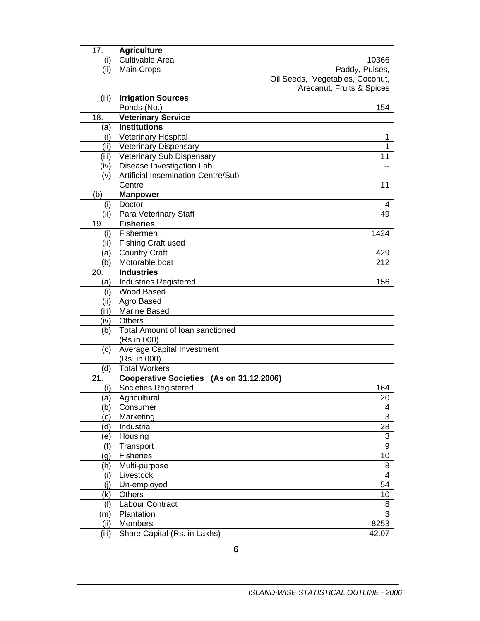| 17.           | <b>Agriculture</b>                         |                                 |
|---------------|--------------------------------------------|---------------------------------|
| (i)           | <b>Cultivable Area</b>                     | 10366                           |
| (ii)          | <b>Main Crops</b>                          | Paddy, Pulses,                  |
|               |                                            | Oil Seeds, Vegetables, Coconut, |
|               |                                            | Arecanut, Fruits & Spices       |
| (iii)         | <b>Irrigation Sources</b>                  |                                 |
|               | Ponds (No.)                                | 154                             |
| 18.           | <b>Veterinary Service</b>                  |                                 |
| (a)           | <b>Institutions</b>                        |                                 |
| (i)           | Veterinary Hospital                        | 1                               |
| (ii)          | <b>Veterinary Dispensary</b>               | 1                               |
| (iii)         | Veterinary Sub Dispensary                  | 11                              |
| (iv)          | Disease Investigation Lab.                 |                                 |
| (v)           | <b>Artificial Insemination Centre/Sub</b>  |                                 |
|               | Centre                                     | 11                              |
| (b)           | <b>Manpower</b>                            |                                 |
| (i)           | Doctor                                     | 4                               |
| (ii)          | Para Veterinary Staff<br><b>Fisheries</b>  | 49                              |
| 19.           |                                            |                                 |
| (i)           | Fishermen                                  | 1424                            |
| (ii)          | <b>Fishing Craft used</b>                  |                                 |
| a)            | <b>Country Craft</b>                       | 429                             |
| (b)           | Motorable boat<br><b>Industries</b>        | 212                             |
| 20.           |                                            |                                 |
| (a)           | <b>Industries Registered</b><br>Wood Based | 156                             |
| (i)<br>(ii)   | Agro Based                                 |                                 |
| (iii)         | Marine Based                               |                                 |
| (iv)          | <b>Others</b>                              |                                 |
| (b)           | Total Amount of Ioan sanctioned            |                                 |
|               | (Rs.in 000)                                |                                 |
| (c)           | <b>Average Capital Investment</b>          |                                 |
|               | (Rs. in 000)                               |                                 |
| (d)           | <b>Total Workers</b>                       |                                 |
| 21.           | Cooperative Societies (As on 31.12.2006)   |                                 |
| (i)           | Societies Registered                       | 164                             |
| (a)           | Agricultural                               | 20                              |
| (b)           | Consumer                                   | 4                               |
| $\mathsf{c})$ | Marketing                                  | 3                               |
| d)            | Industrial                                 | 28                              |
| e)            | Housing                                    | $\ensuremath{\mathsf{3}}$       |
| (f)           | Transport                                  | 9                               |
| (g)           | <b>Fisheries</b>                           | 10                              |
| (h)           | Multi-purpose                              | 8                               |
| (i)           | Livestock                                  | 4                               |
| (i)           | Un-employed                                | 54                              |
| (k)           | Others                                     | 10                              |
| (1)           | Labour Contract                            | 8                               |
| (m            | Plantation                                 | 3                               |
| (ii)          | Members                                    | 8253                            |
| (iii)         | Share Capital (Rs. in Lakhs)               | 42.07                           |